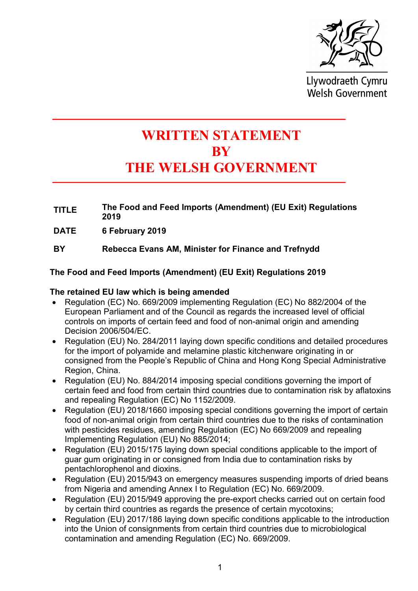

Llywodraeth Cymru **Welsh Government** 

# WRITTEN STATEMENT **BY** THE WELSH GOVERNMENT

- TITLE The Food and Feed Imports (Amendment) (EU Exit) Regulations 2019
- DATE 6 February 2019
- BY Rebecca Evans AM, Minister for Finance and Trefnydd

The Food and Feed Imports (Amendment) (EU Exit) Regulations 2019

## The retained EU law which is being amended

- Regulation (EC) No. 669/2009 implementing Regulation (EC) No 882/2004 of the European Parliament and of the Council as regards the increased level of official controls on imports of certain feed and food of non-animal origin and amending Decision 2006/504/EC.
- Regulation (EU) No. 284/2011 laying down specific conditions and detailed procedures for the import of polyamide and melamine plastic kitchenware originating in or consigned from the People's Republic of China and Hong Kong Special Administrative Region, China.
- Regulation (EU) No. 884/2014 imposing special conditions governing the import of certain feed and food from certain third countries due to contamination risk by aflatoxins and repealing Regulation (EC) No 1152/2009.
- Regulation (EU) 2018/1660 imposing special conditions governing the import of certain food of non-animal origin from certain third countries due to the risks of contamination with pesticides residues, amending Regulation (EC) No 669/2009 and repealing Implementing Regulation (EU) No 885/2014;
- Regulation (EU) 2015/175 laying down special conditions applicable to the import of guar gum originating in or consigned from India due to contamination risks by pentachlorophenol and dioxins.
- Regulation (EU) 2015/943 on emergency measures suspending imports of dried beans from Nigeria and amending Annex I to Regulation (EC) No. 669/2009.
- Regulation (EU) 2015/949 approving the pre-export checks carried out on certain food by certain third countries as regards the presence of certain mycotoxins;
- Regulation (EU) 2017/186 laying down specific conditions applicable to the introduction into the Union of consignments from certain third countries due to microbiological contamination and amending Regulation (EC) No. 669/2009.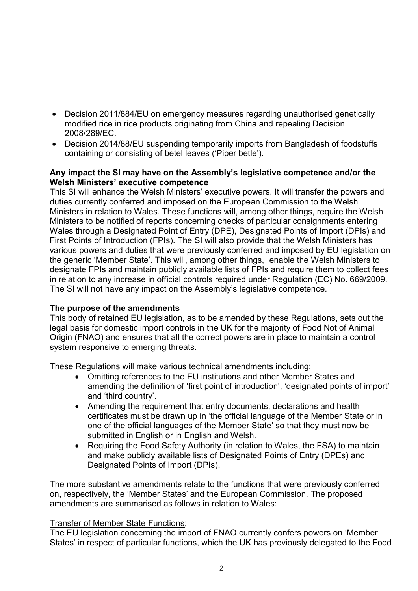- Decision 2011/884/EU on emergency measures regarding unauthorised genetically modified rice in rice products originating from China and repealing Decision 2008/289/EC.
- Decision 2014/88/EU suspending temporarily imports from Bangladesh of foodstuffs containing or consisting of betel leaves ('Piper betle').

### Any impact the SI may have on the Assembly's legislative competence and/or the Welsh Ministers' executive competence

This SI will enhance the Welsh Ministers' executive powers. It will transfer the powers and duties currently conferred and imposed on the European Commission to the Welsh Ministers in relation to Wales. These functions will, among other things, require the Welsh Ministers to be notified of reports concerning checks of particular consignments entering Wales through a Designated Point of Entry (DPE), Designated Points of Import (DPIs) and First Points of Introduction (FPIs). The SI will also provide that the Welsh Ministers has various powers and duties that were previously conferred and imposed by EU legislation on the generic 'Member State'. This will, among other things, enable the Welsh Ministers to designate FPIs and maintain publicly available lists of FPIs and require them to collect fees in relation to any increase in official controls required under Regulation (EC) No. 669/2009. The SI will not have any impact on the Assembly's legislative competence.

### The purpose of the amendments

This body of retained EU legislation, as to be amended by these Regulations, sets out the legal basis for domestic import controls in the UK for the majority of Food Not of Animal Origin (FNAO) and ensures that all the correct powers are in place to maintain a control system responsive to emerging threats.

These Regulations will make various technical amendments including:

- Omitting references to the EU institutions and other Member States and amending the definition of 'first point of introduction', 'designated points of import' and 'third country'.
- Amending the requirement that entry documents, declarations and health certificates must be drawn up in 'the official language of the Member State or in one of the official languages of the Member State' so that they must now be submitted in English or in English and Welsh.
- Requiring the Food Safety Authority (in relation to Wales, the FSA) to maintain and make publicly available lists of Designated Points of Entry (DPEs) and Designated Points of Import (DPIs).

The more substantive amendments relate to the functions that were previously conferred on, respectively, the 'Member States' and the European Commission. The proposed amendments are summarised as follows in relation to Wales:

### Transfer of Member State Functions;

The EU legislation concerning the import of FNAO currently confers powers on 'Member States' in respect of particular functions, which the UK has previously delegated to the Food